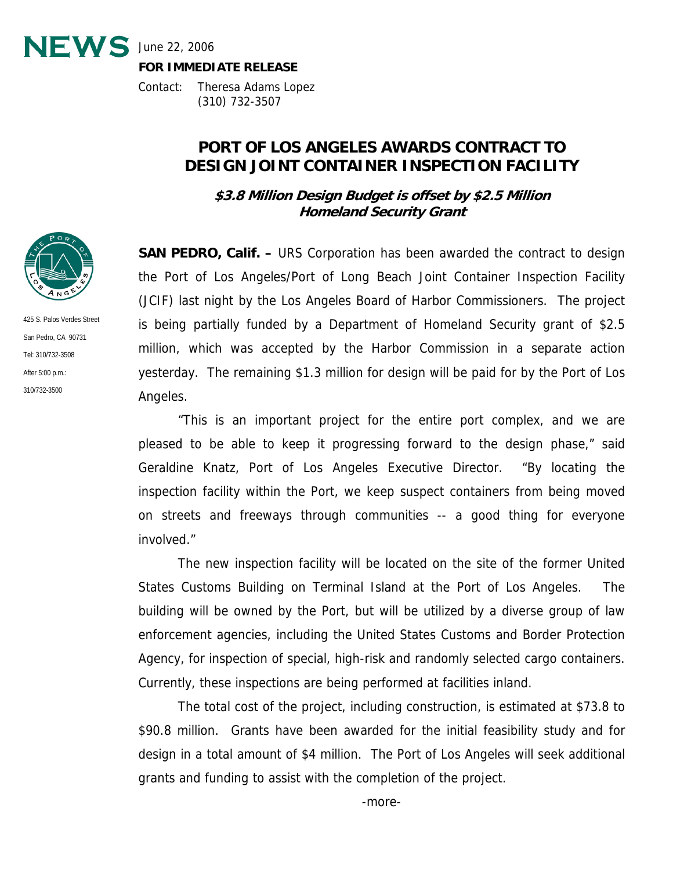

Contact: Theresa Adams Lopez (310) 732-3507

## **PORT OF LOS ANGELES AWARDS CONTRACT TO DESIGN JOINT CONTAINER INSPECTION FACILITY**

**\$3.8 Million Design Budget is offset by \$2.5 Million Homeland Security Grant** 

**SAN PEDRO, Calif. –** URS Corporation has been awarded the contract to design the Port of Los Angeles/Port of Long Beach Joint Container Inspection Facility (JCIF) last night by the Los Angeles Board of Harbor Commissioners. The project is being partially funded by a Department of Homeland Security grant of \$2.5 million, which was accepted by the Harbor Commission in a separate action yesterday. The remaining \$1.3 million for design will be paid for by the Port of Los Angeles.

 "This is an important project for the entire port complex, and we are pleased to be able to keep it progressing forward to the design phase," said Geraldine Knatz, Port of Los Angeles Executive Director. "By locating the inspection facility within the Port, we keep suspect containers from being moved on streets and freeways through communities -- a good thing for everyone involved."

 The new inspection facility will be located on the site of the former United States Customs Building on Terminal Island at the Port of Los Angeles. The building will be owned by the Port, but will be utilized by a diverse group of law enforcement agencies, including the United States Customs and Border Protection Agency, for inspection of special, high-risk and randomly selected cargo containers. Currently, these inspections are being performed at facilities inland.

 The total cost of the project, including construction, is estimated at \$73.8 to \$90.8 million. Grants have been awarded for the initial feasibility study and for design in a total amount of \$4 million. The Port of Los Angeles will seek additional grants and funding to assist with the completion of the project.



425 S. Palos Verdes Street San Pedro, CA 90731 Tel: 310/732-3508 After 5:00 p.m.: 310/732-3500